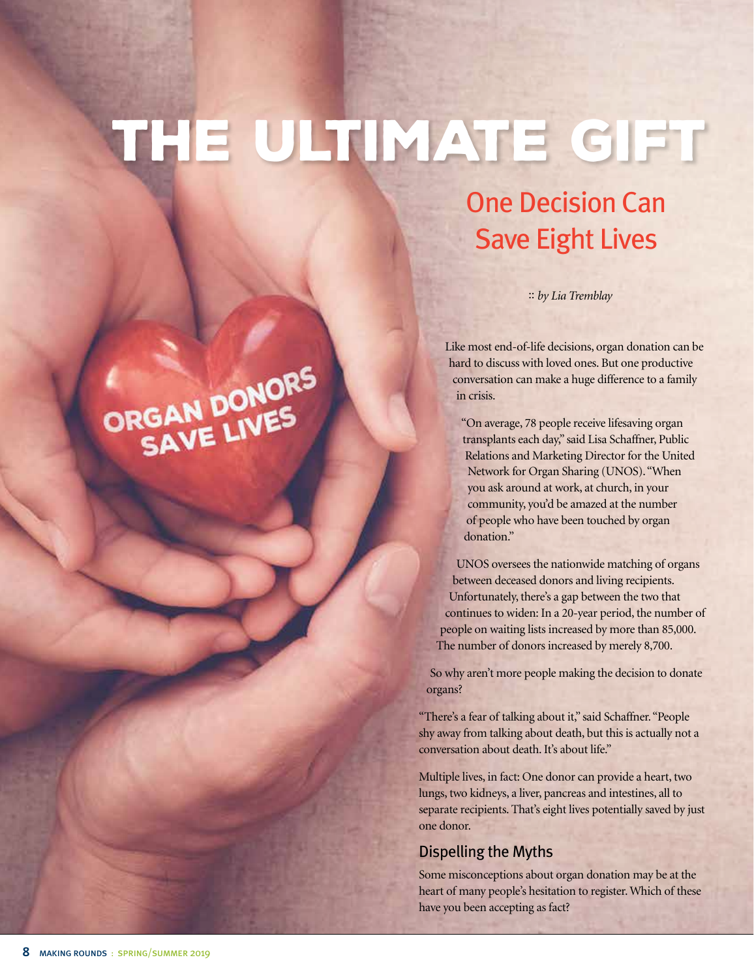## The Ultimate Gift

### One Decision Can Save Eight Lives

:: *by Lia Tremblay*

Like most end-of-life decisions, organ donation can be hard to discuss with loved ones. But one productive conversation can make a huge difference to a family in crisis.

"On average, 78 people receive lifesaving organ transplants each day," said Lisa Schaffner, Public Relations and Marketing Director for the United Network for Organ Sharing (UNOS). "When you ask around at work, at church, in your community, you'd be amazed at the number of people who have been touched by organ donation."

UNOS oversees the nationwide matching of organs between deceased donors and living recipients. Unfortunately, there's a gap between the two that continues to widen: In a 20-year period, the number of people on waiting lists increased by more than 85,000. The number of donors increased by merely 8,700.

So why aren't more people making the decision to donate organs?

"There's a fear of talking about it," said Schaffner. "People shy away from talking about death, but this is actually not a conversation about death. It's about life."

Multiple lives, in fact: One donor can provide a heart, two lungs, two kidneys, a liver, pancreas and intestines, all to separate recipients. That's eight lives potentially saved by just one donor.

### Dispelling the Myths

Some misconceptions about organ donation may be at the heart of many people's hesitation to register. Which of these have you been accepting as fact?

# CRGAN DONORS